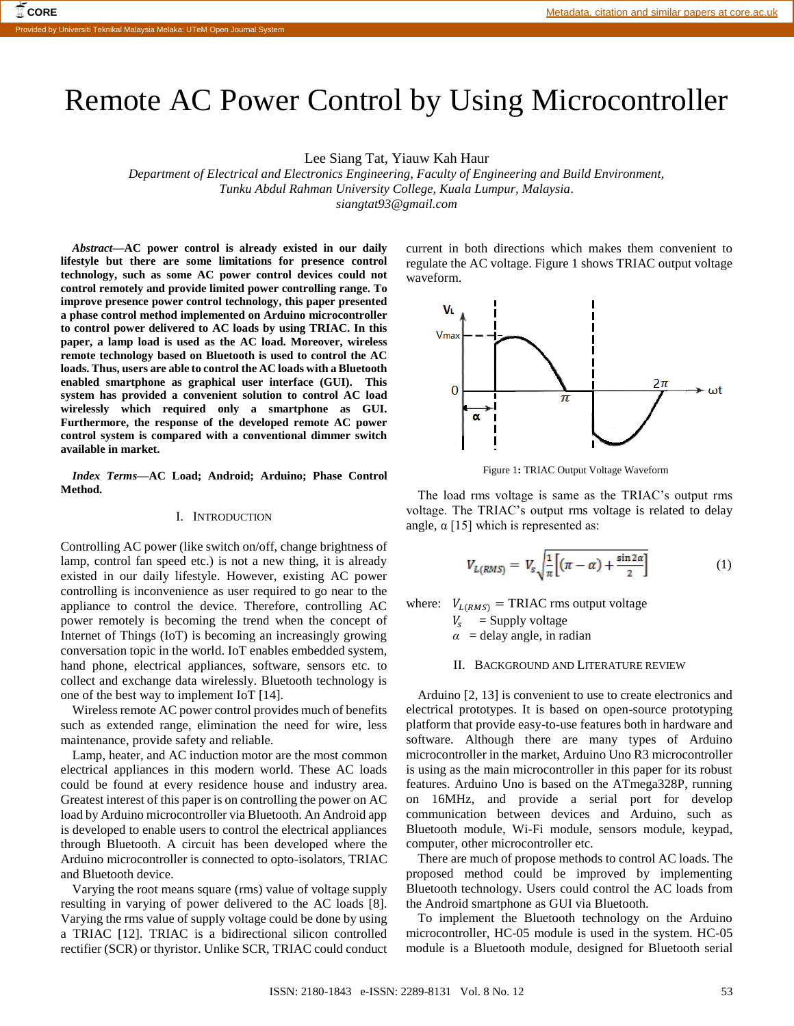# Remote AC Power Control by Using Microcontroller

Lee Siang Tat, Yiauw Kah Haur

*Department of Electrical and Electronics Engineering, Faculty of Engineering and Build Environment, Tunku Abdul Rahman University College, Kuala Lumpur, Malaysia. siangtat93@gmail.com*

*Abstract***—AC power control is already existed in our daily lifestyle but there are some limitations for presence control technology, such as some AC power control devices could not control remotely and provide limited power controlling range. To improve presence power control technology, this paper presented a phase control method implemented on Arduino microcontroller to control power delivered to AC loads by using TRIAC. In this paper, a lamp load is used as the AC load. Moreover, wireless remote technology based on Bluetooth is used to control the AC loads. Thus, users are able to control the AC loads with a Bluetooth enabled smartphone as graphical user interface (GUI). This system has provided a convenient solution to control AC load wirelessly which required only a smartphone as GUI. Furthermore, the response of the developed remote AC power control system is compared with a conventional dimmer switch available in market.**

*Index Terms***—AC Load; Android; Arduino; Phase Control Method.**

# I. INTRODUCTION

Controlling AC power (like switch on/off, change brightness of lamp, control fan speed etc.) is not a new thing, it is already existed in our daily lifestyle. However, existing AC power controlling is inconvenience as user required to go near to the appliance to control the device. Therefore, controlling AC power remotely is becoming the trend when the concept of Internet of Things (IoT) is becoming an increasingly growing conversation topic in the world. IoT enables embedded system, hand phone, electrical appliances, software, sensors etc. to collect and exchange data wirelessly. Bluetooth technology is one of the best way to implement IoT [14].

Wireless remote AC power control provides much of benefits such as extended range, elimination the need for wire, less maintenance, provide safety and reliable.

Lamp, heater, and AC induction motor are the most common electrical appliances in this modern world. These AC loads could be found at every residence house and industry area. Greatest interest of this paper is on controlling the power on AC load by Arduino microcontroller via Bluetooth. An Android app is developed to enable users to control the electrical appliances through Bluetooth. A circuit has been developed where the Arduino microcontroller is connected to opto-isolators, TRIAC and Bluetooth device.

Varying the root means square (rms) value of voltage supply resulting in varying of power delivered to the AC loads [8]. Varying the rms value of supply voltage could be done by using a TRIAC [12]. TRIAC is a bidirectional silicon controlled rectifier (SCR) or thyristor. Unlike SCR, TRIAC could conduct current in both directions which makes them convenient to regulate the AC voltage. Figure 1 shows TRIAC output voltage waveform.



Figure 1**:** TRIAC Output Voltage Waveform

The load rms voltage is same as the TRIAC's output rms voltage. The TRIAC's output rms voltage is related to delay angle,  $\alpha$  [15] which is represented as:

$$
V_{L(RMS)} = V_s \sqrt{\frac{1}{\pi} \left[ (\pi - \alpha) + \frac{\sin 2\alpha}{2} \right]}
$$
 (1)

where:  $V_{L(RMS)} = \text{TRIAC rms output voltage}$ 

 $V_s$  = Supply voltage

 $\alpha$  = delay angle, in radian

## II. BACKGROUND AND LITERATURE REVIEW

Arduino [2, 13] is convenient to use to create electronics and electrical prototypes. It is based on open-source prototyping platform that provide easy-to-use features both in hardware and software. Although there are many types of Arduino microcontroller in the market, Arduino Uno R3 microcontroller is using as the main microcontroller in this paper for its robust features. Arduino Uno is based on the ATmega328P, running on 16MHz, and provide a serial port for develop communication between devices and Arduino, such as Bluetooth module, Wi-Fi module, sensors module, keypad, computer, other microcontroller etc.

There are much of propose methods to control AC loads. The proposed method could be improved by implementing Bluetooth technology. Users could control the AC loads from the Android smartphone as GUI via Bluetooth.

To implement the Bluetooth technology on the Arduino microcontroller, HC-05 module is used in the system. HC-05 module is a Bluetooth module, designed for Bluetooth serial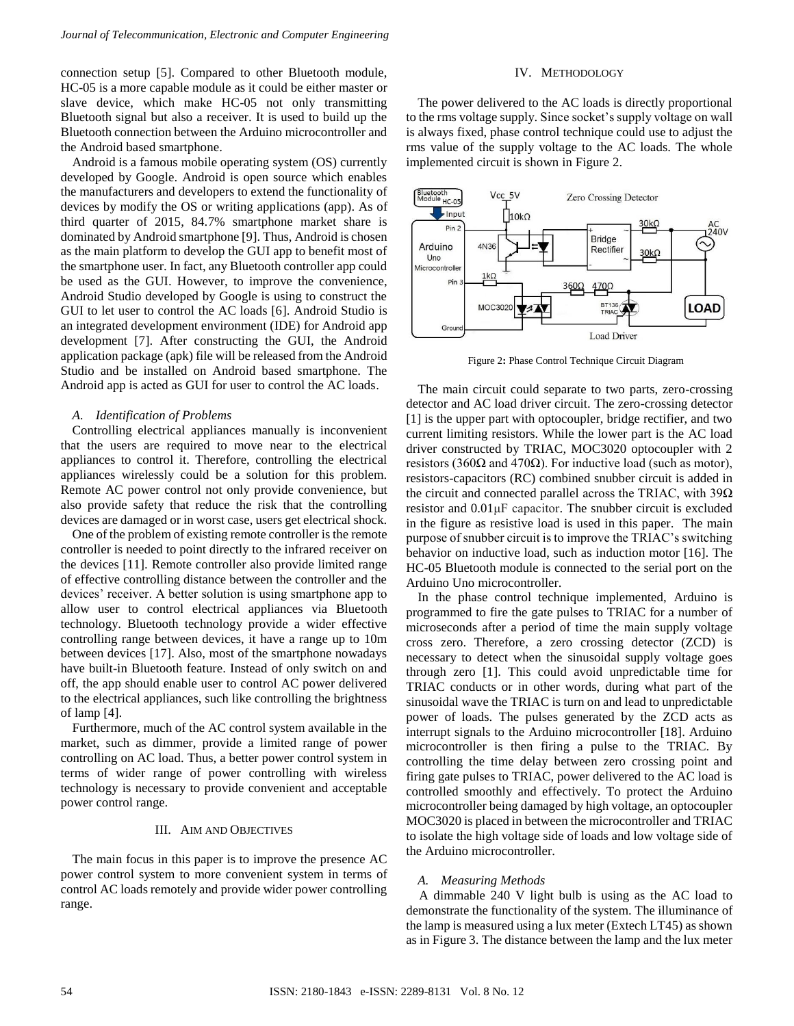connection setup [5]. Compared to other Bluetooth module, HC-05 is a more capable module as it could be either master or slave device, which make HC-05 not only transmitting Bluetooth signal but also a receiver. It is used to build up the Bluetooth connection between the Arduino microcontroller and the Android based smartphone.

Android is a famous mobile operating system (OS) currently developed by Google. Android is open source which enables the manufacturers and developers to extend the functionality of devices by modify the OS or writing applications (app). As of third quarter of 2015, 84.7% smartphone market share is dominated by Android smartphone [9]. Thus, Android is chosen as the main platform to develop the GUI app to benefit most of the smartphone user. In fact, any Bluetooth controller app could be used as the GUI. However, to improve the convenience, Android Studio developed by Google is using to construct the GUI to let user to control the AC loads [6]. Android Studio is an integrated development environment (IDE) for Android app development [7]. After constructing the GUI, the Android application package (apk) file will be released from the Android Studio and be installed on Android based smartphone. The Android app is acted as GUI for user to control the AC loads.

## *A. Identification of Problems*

Controlling electrical appliances manually is inconvenient that the users are required to move near to the electrical appliances to control it. Therefore, controlling the electrical appliances wirelessly could be a solution for this problem. Remote AC power control not only provide convenience, but also provide safety that reduce the risk that the controlling devices are damaged or in worst case, users get electrical shock.

One of the problem of existing remote controller is the remote controller is needed to point directly to the infrared receiver on the devices [11]. Remote controller also provide limited range of effective controlling distance between the controller and the devices' receiver. A better solution is using smartphone app to allow user to control electrical appliances via Bluetooth technology. Bluetooth technology provide a wider effective controlling range between devices, it have a range up to 10m between devices [17]. Also, most of the smartphone nowadays have built-in Bluetooth feature. Instead of only switch on and off, the app should enable user to control AC power delivered to the electrical appliances, such like controlling the brightness of lamp [4].

Furthermore, much of the AC control system available in the market, such as dimmer, provide a limited range of power controlling on AC load. Thus, a better power control system in terms of wider range of power controlling with wireless technology is necessary to provide convenient and acceptable power control range.

## III. AIM AND OBJECTIVES

The main focus in this paper is to improve the presence AC power control system to more convenient system in terms of control AC loads remotely and provide wider power controlling range.

# IV. METHODOLOGY

The power delivered to the AC loads is directly proportional to the rms voltage supply. Since socket's supply voltage on wall is always fixed, phase control technique could use to adjust the rms value of the supply voltage to the AC loads. The whole implemented circuit is shown in Figure 2.



Figure 2**:** Phase Control Technique Circuit Diagram

The main circuit could separate to two parts, zero-crossing detector and AC load driver circuit. The zero-crossing detector [1] is the upper part with optocoupler, bridge rectifier, and two current limiting resistors. While the lower part is the AC load driver constructed by TRIAC, MOC3020 optocoupler with 2 resistors (360Ω and 470Ω). For inductive load (such as motor), resistors-capacitors (RC) combined snubber circuit is added in the circuit and connected parallel across the TRIAC, with  $39\Omega$ resistor and 0.01μF capacitor. The snubber circuit is excluded in the figure as resistive load is used in this paper. The main purpose of snubber circuit is to improve the TRIAC's switching behavior on inductive load, such as induction motor [16]. The HC-05 Bluetooth module is connected to the serial port on the Arduino Uno microcontroller.

In the phase control technique implemented, Arduino is programmed to fire the gate pulses to TRIAC for a number of microseconds after a period of time the main supply voltage cross zero. Therefore, a zero crossing detector (ZCD) is necessary to detect when the sinusoidal supply voltage goes through zero [1]. This could avoid unpredictable time for TRIAC conducts or in other words, during what part of the sinusoidal wave the TRIAC is turn on and lead to unpredictable power of loads. The pulses generated by the ZCD acts as interrupt signals to the Arduino microcontroller [18]. Arduino microcontroller is then firing a pulse to the TRIAC. By controlling the time delay between zero crossing point and firing gate pulses to TRIAC, power delivered to the AC load is controlled smoothly and effectively. To protect the Arduino microcontroller being damaged by high voltage, an optocoupler MOC3020 is placed in between the microcontroller and TRIAC to isolate the high voltage side of loads and low voltage side of the Arduino microcontroller.

## *A. Measuring Methods*

A dimmable 240 V light bulb is using as the AC load to demonstrate the functionality of the system. The illuminance of the lamp is measured using a lux meter (Extech LT45) as shown as in Figure 3. The distance between the lamp and the lux meter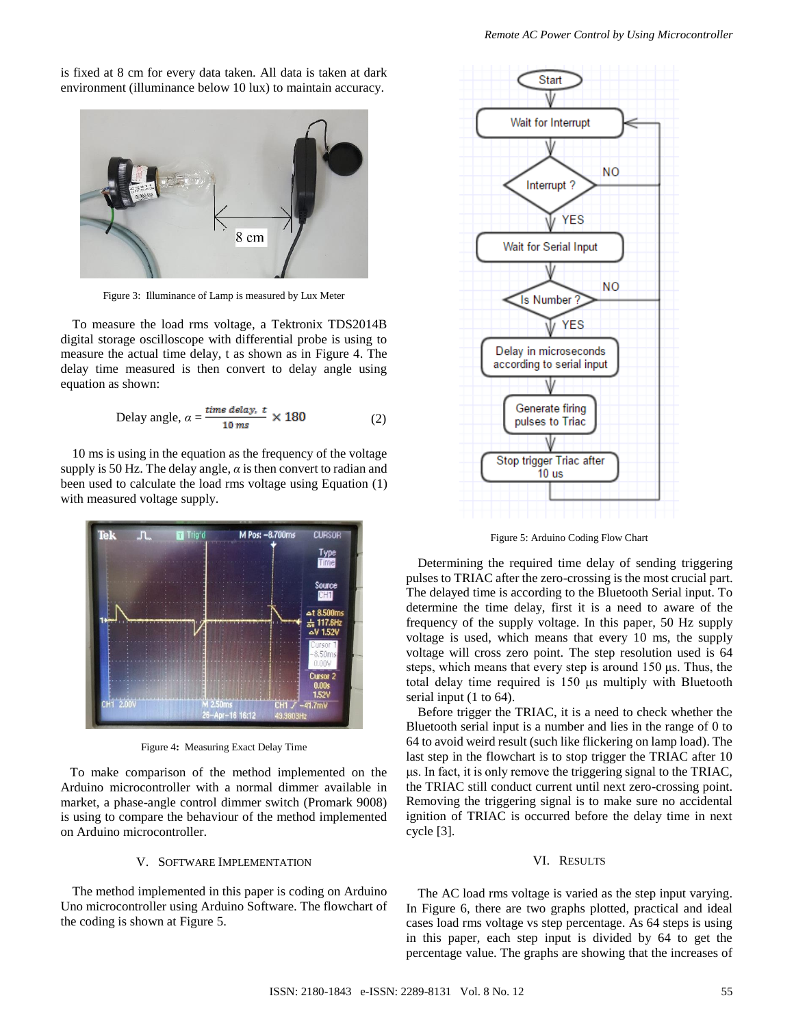is fixed at 8 cm for every data taken. All data is taken at dark environment (illuminance below 10 lux) to maintain accuracy.



Figure 3: Illuminance of Lamp is measured by Lux Meter

To measure the load rms voltage, a Tektronix TDS2014B digital storage oscilloscope with differential probe is using to measure the actual time delay, t as shown as in Figure 4. The delay time measured is then convert to delay angle using equation as shown:

$$
Delay angle, \alpha = \frac{time \text{ delay. } t}{10 \text{ ms}} \times 180 \tag{2}
$$

10 ms is using in the equation as the frequency of the voltage supply is 50 Hz. The delay angle,  $\alpha$  is then convert to radian and been used to calculate the load rms voltage using Equation (1) with measured voltage supply.



Figure 4**:** Measuring Exact Delay Time

To make comparison of the method implemented on the Arduino microcontroller with a normal dimmer available in market, a phase-angle control dimmer switch (Promark 9008) is using to compare the behaviour of the method implemented on Arduino microcontroller.

## V. SOFTWARE IMPLEMENTATION

The method implemented in this paper is coding on Arduino Uno microcontroller using Arduino Software. The flowchart of the coding is shown at Figure 5.



Figure 5: Arduino Coding Flow Chart

Determining the required time delay of sending triggering pulses to TRIAC after the zero-crossing is the most crucial part. The delayed time is according to the Bluetooth Serial input. To determine the time delay, first it is a need to aware of the frequency of the supply voltage. In this paper, 50 Hz supply voltage is used, which means that every 10 ms, the supply voltage will cross zero point. The step resolution used is 64 steps, which means that every step is around 150 μs. Thus, the total delay time required is 150 μs multiply with Bluetooth serial input (1 to 64).

Before trigger the TRIAC, it is a need to check whether the Bluetooth serial input is a number and lies in the range of 0 to 64 to avoid weird result (such like flickering on lamp load). The last step in the flowchart is to stop trigger the TRIAC after 10 μs. In fact, it is only remove the triggering signal to the TRIAC, the TRIAC still conduct current until next zero-crossing point. Removing the triggering signal is to make sure no accidental ignition of TRIAC is occurred before the delay time in next cycle [3].

## VI. RESULTS

The AC load rms voltage is varied as the step input varying. In Figure 6, there are two graphs plotted, practical and ideal cases load rms voltage vs step percentage. As 64 steps is using in this paper, each step input is divided by 64 to get the percentage value. The graphs are showing that the increases of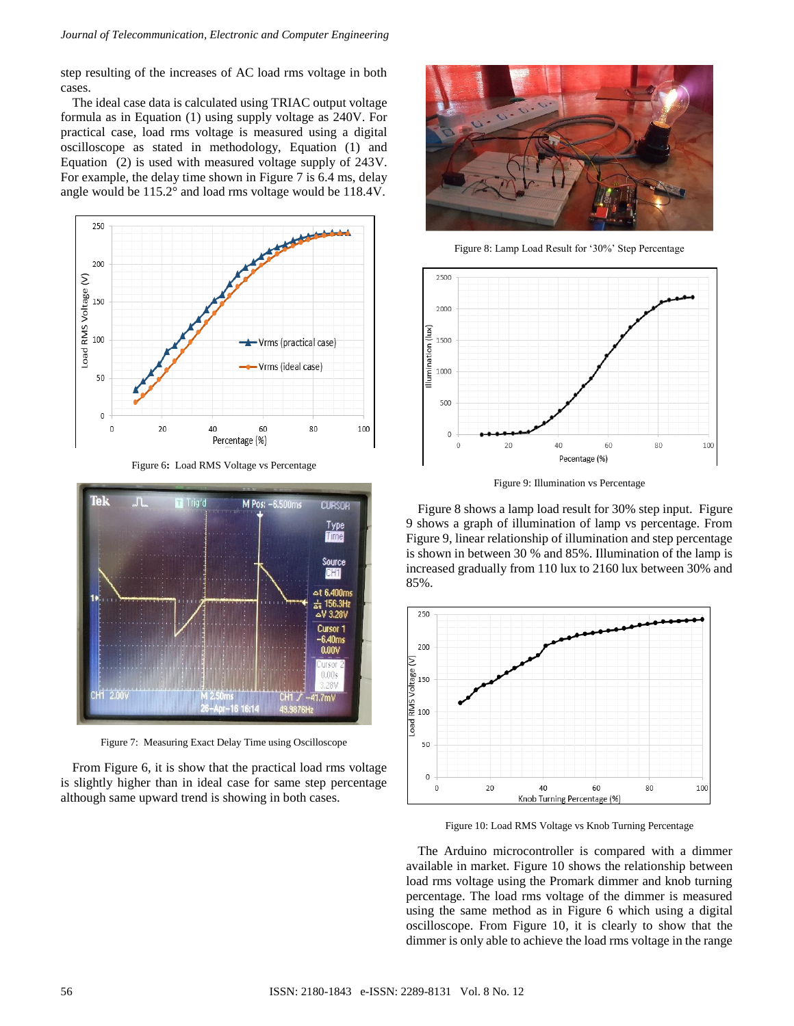step resulting of the increases of AC load rms voltage in both cases.

The ideal case data is calculated using TRIAC output voltage formula as in Equation (1) using supply voltage as 240V. For practical case, load rms voltage is measured using a digital oscilloscope as stated in methodology, Equation (1) and Equation (2) is used with measured voltage supply of 243V. For example, the delay time shown in Figure 7 is 6.4 ms, delay angle would be 115.2° and load rms voltage would be 118.4V.



Figure 6**:** Load RMS Voltage vs Percentage



Figure 7: Measuring Exact Delay Time using Oscilloscope

From Figure 6, it is show that the practical load rms voltage is slightly higher than in ideal case for same step percentage although same upward trend is showing in both cases.



Figure 8: Lamp Load Result for '30%' Step Percentage



Figure 9: Illumination vs Percentage

Figure 8 shows a lamp load result for 30% step input. Figure 9 shows a graph of illumination of lamp vs percentage. From Figure 9, linear relationship of illumination and step percentage is shown in between 30 % and 85%. Illumination of the lamp is increased gradually from 110 lux to 2160 lux between 30% and 85%.



Figure 10: Load RMS Voltage vs Knob Turning Percentage

The Arduino microcontroller is compared with a dimmer available in market. Figure 10 shows the relationship between load rms voltage using the Promark dimmer and knob turning percentage. The load rms voltage of the dimmer is measured using the same method as in Figure 6 which using a digital oscilloscope. From Figure 10, it is clearly to show that the dimmer is only able to achieve the load rms voltage in the range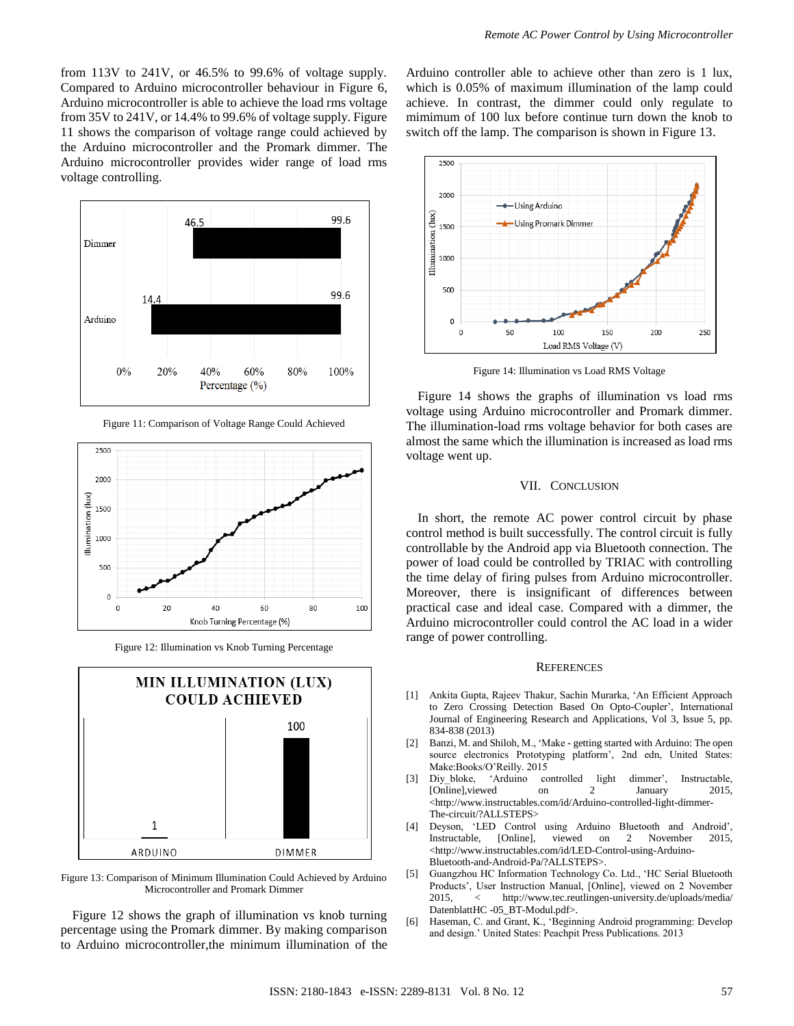from 113V to 241V, or 46.5% to 99.6% of voltage supply. Compared to Arduino microcontroller behaviour in Figure 6, Arduino microcontroller is able to achieve the load rms voltage from 35V to 241V, or 14.4% to 99.6% of voltage supply. Figure 11 shows the comparison of voltage range could achieved by the Arduino microcontroller and the Promark dimmer. The Arduino microcontroller provides wider range of load rms voltage controlling.



Figure 11: Comparison of Voltage Range Could Achieved



Figure 12: Illumination vs Knob Turning Percentage



Figure 13: Comparison of Minimum Illumination Could Achieved by Arduino Microcontroller and Promark Dimmer

Figure 12 shows the graph of illumination vs knob turning percentage using the Promark dimmer. By making comparison to Arduino microcontroller,the minimum illumination of the

Arduino controller able to achieve other than zero is 1 lux, which is 0.05% of maximum illumination of the lamp could achieve. In contrast, the dimmer could only regulate to mimimum of 100 lux before continue turn down the knob to switch off the lamp. The comparison is shown in Figure 13.



Figure 14: Illumination vs Load RMS Voltage

Figure 14 shows the graphs of illumination vs load rms voltage using Arduino microcontroller and Promark dimmer. The illumination-load rms voltage behavior for both cases are almost the same which the illumination is increased as load rms voltage went up.

# VII. CONCLUSION

In short, the remote AC power control circuit by phase control method is built successfully. The control circuit is fully controllable by the Android app via Bluetooth connection. The power of load could be controlled by TRIAC with controlling the time delay of firing pulses from Arduino microcontroller. Moreover, there is insignificant of differences between practical case and ideal case. Compared with a dimmer, the Arduino microcontroller could control the AC load in a wider range of power controlling.

## **REFERENCES**

- [1] Ankita Gupta, Rajeev Thakur, Sachin Murarka, 'An Efficient Approach to Zero Crossing Detection Based On Opto-Coupler', International Journal of Engineering Research and Applications, Vol 3, Issue 5, pp. 834-838 (2013)
- [2] Banzi, M. and Shiloh, M., 'Make getting started with Arduino: The open source electronics Prototyping platform', 2nd edn, United States: Make:Books/O'Reilly. 2015
- [3] Diy\_bloke, 'Arduino controlled light dimmer', Instructable, [Online],viewed on 2 January 2015, <http://www.instructables.com/id/Arduino-controlled-light-dimmer-The-circuit/?ALLSTEPS>
- [4] Deyson, 'LED Control using Arduino Bluetooth and Android', Instructable, [Online], viewed on 2 November 2015, <http://www.instructables.com/id/LED-Control-using-Arduino-Bluetooth-and-Android-Pa/?ALLSTEPS>.
- [5] Guangzhou HC Information Technology Co. Ltd., 'HC Serial Bluetooth Products', User Instruction Manual, [Online], viewed on 2 November 2015, < http://www.tec.reutlingen-university.de/uploads/media/ DatenblattHC -05\_BT-Modul.pdf>.
- [6] Haseman, C. and Grant, K., 'Beginning Android programming: Develop and design.' United States: Peachpit Press Publications. 2013